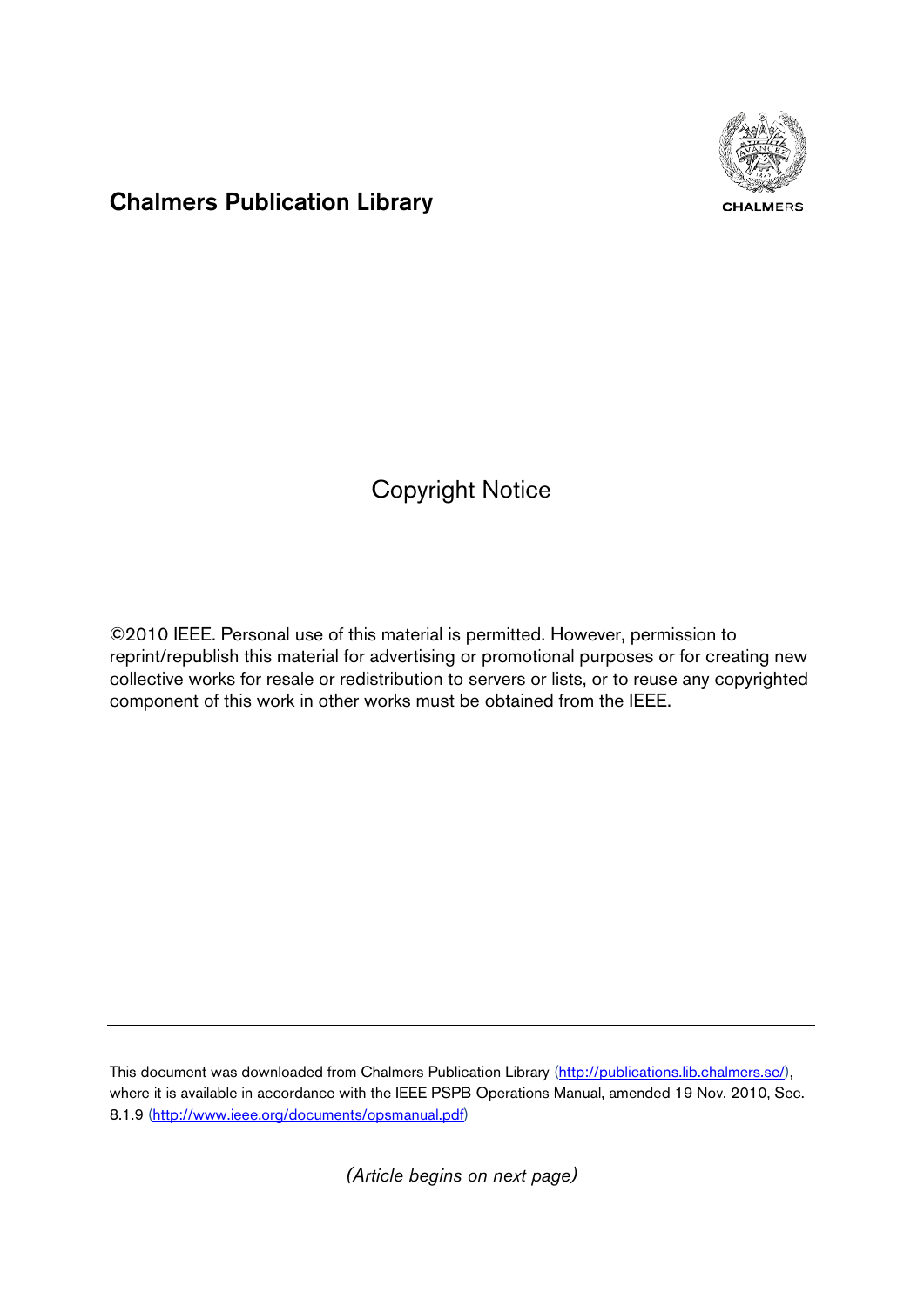

### Chalmers Publication Library

CHALMERS

## Copyright Notice

©2010 IEEE. Personal use of this material is permitted. However, permission to reprint/republish this material for advertising or promotional purposes or for creating new collective works for resale or redistribution to servers or lists, or to reuse any copyrighted component of this work in other works must be obtained from the IEEE.

This document was downloaded from Chalmers Publication Library (http://publications.lib.chalmers.se/), where it is available in accordance with the IEEE PSPB Operations Manual, amended 19 Nov. 2010, Sec. 8.1.9 (http://www.ieee.org/documents/opsmanual.pdf)

(Article begins on next page)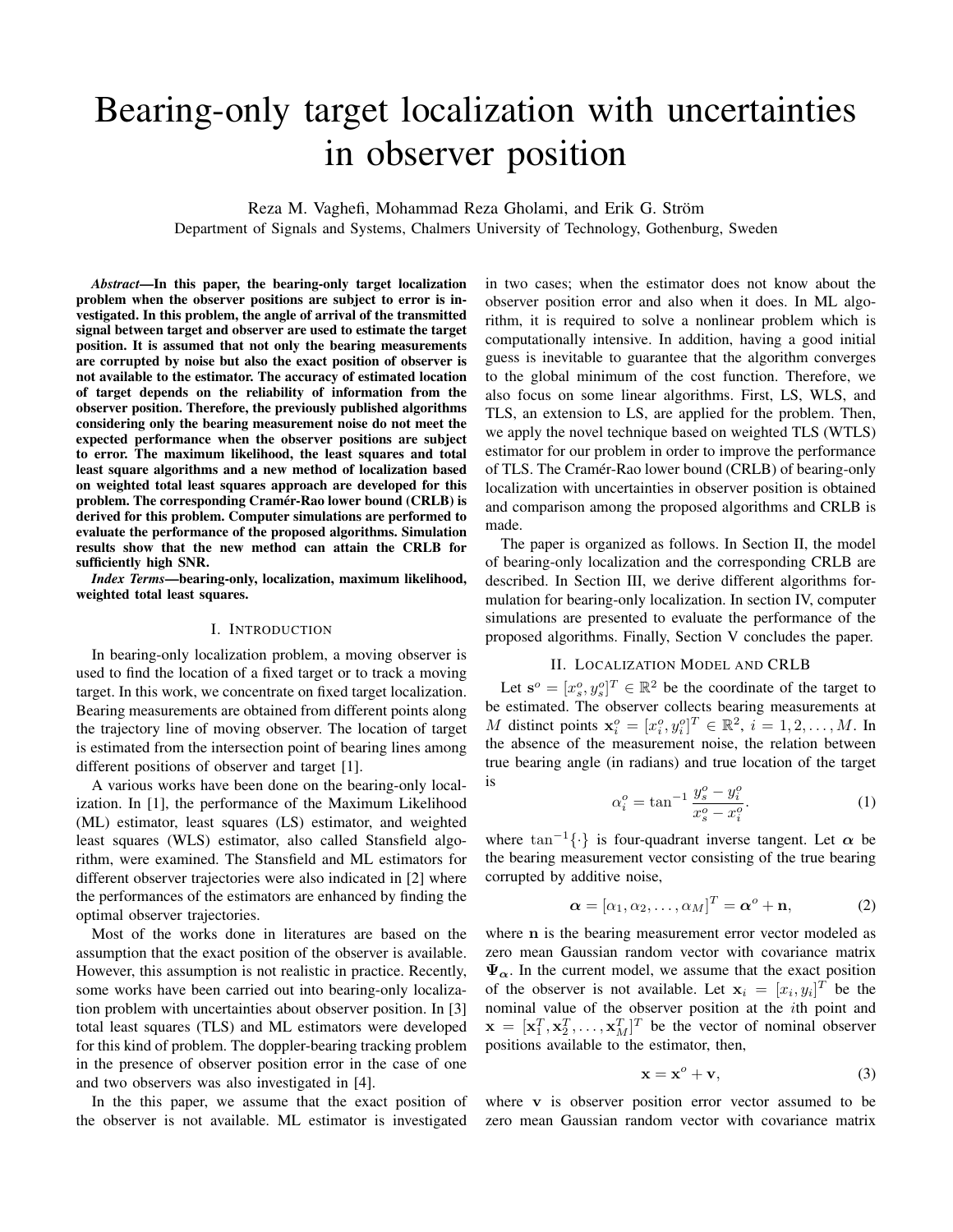# Bearing-only target localization with uncertainties in observer position

Reza M. Vaghefi, Mohammad Reza Gholami, and Erik G. Ström

Department of Signals and Systems, Chalmers University of Technology, Gothenburg, Sweden

*Abstract*—In this paper, the bearing-only target localization problem when the observer positions are subject to error is investigated. In this problem, the angle of arrival of the transmitted signal between target and observer are used to estimate the target position. It is assumed that not only the bearing measurements are corrupted by noise but also the exact position of observer is not available to the estimator. The accuracy of estimated location of target depends on the reliability of information from the observer position. Therefore, the previously published algorithms considering only the bearing measurement noise do not meet the expected performance when the observer positions are subject to error. The maximum likelihood, the least squares and total least square algorithms and a new method of localization based on weighted total least squares approach are developed for this problem. The corresponding Cramér-Rao lower bound (CRLB) is derived for this problem. Computer simulations are performed to evaluate the performance of the proposed algorithms. Simulation results show that the new method can attain the CRLB for sufficiently high SNR.

*Index Terms*—bearing-only, localization, maximum likelihood, weighted total least squares.

#### I. INTRODUCTION

In bearing-only localization problem, a moving observer is used to find the location of a fixed target or to track a moving target. In this work, we concentrate on fixed target localization. Bearing measurements are obtained from different points along the trajectory line of moving observer. The location of target is estimated from the intersection point of bearing lines among different positions of observer and target [1].

A various works have been done on the bearing-only localization. In [1], the performance of the Maximum Likelihood (ML) estimator, least squares (LS) estimator, and weighted least squares (WLS) estimator, also called Stansfield algorithm, were examined. The Stansfield and ML estimators for different observer trajectories were also indicated in [2] where the performances of the estimators are enhanced by finding the optimal observer trajectories.

Most of the works done in literatures are based on the assumption that the exact position of the observer is available. However, this assumption is not realistic in practice. Recently, some works have been carried out into bearing-only localization problem with uncertainties about observer position. In [3] total least squares (TLS) and ML estimators were developed for this kind of problem. The doppler-bearing tracking problem in the presence of observer position error in the case of one and two observers was also investigated in [4].

In the this paper, we assume that the exact position of the observer is not available. ML estimator is investigated

in two cases; when the estimator does not know about the observer position error and also when it does. In ML algorithm, it is required to solve a nonlinear problem which is computationally intensive. In addition, having a good initial guess is inevitable to guarantee that the algorithm converges to the global minimum of the cost function. Therefore, we also focus on some linear algorithms. First, LS, WLS, and TLS, an extension to LS, are applied for the problem. Then, we apply the novel technique based on weighted TLS (WTLS) estimator for our problem in order to improve the performance of TLS. The Cramér-Rao lower bound (CRLB) of bearing-only localization with uncertainties in observer position is obtained and comparison among the proposed algorithms and CRLB is made.

The paper is organized as follows. In Section II, the model of bearing-only localization and the corresponding CRLB are described. In Section III, we derive different algorithms formulation for bearing-only localization. In section IV, computer simulations are presented to evaluate the performance of the proposed algorithms. Finally, Section V concludes the paper.

#### II. LOCALIZATION MODEL AND CRLB

Let  $\mathbf{s}^{\circ} = [x_s^{\circ}, y_s^{\circ}]^T \in \mathbb{R}^2$  be the coordinate of the target to be estimated. The observer collects bearing measurements at *M* distinct points  $\mathbf{x}_i^o = [x_i^o, y_i^o]^T \in \mathbb{R}^2$ ,  $i = 1, 2, ..., M$ . In the absence of the measurement noise, the relation between true bearing angle (in radians) and true location of the target is

$$
\alpha_i^o = \tan^{-1} \frac{y_s^o - y_i^o}{x_s^o - x_i^o}.
$$
 (1)

where tan<sup>-1</sup>{·} is four-quadrant inverse tangent. Let  $\alpha$  be the bearing measurement vector consisting of the true bearing corrupted by additive noise,

$$
\boldsymbol{\alpha} = [\alpha_1, \alpha_2, \dots, \alpha_M]^T = \boldsymbol{\alpha}^o + \mathbf{n},\tag{2}
$$

where **n** is the bearing measurement error vector modeled as zero mean Gaussian random vector with covariance matrix  $\Psi_{\alpha}$ . In the current model, we assume that the exact position of the observer is not available. Let  $\mathbf{x}_i = [x_i, y_i]^T$  be the nominal value of the observer position at the *i*th point and  $\mathbf{x} = [\mathbf{x}_1^T, \mathbf{x}_2^T, \dots, \mathbf{x}_M^T]^T$  be the vector of nominal observer positions available to the estimator, then,

$$
\mathbf{x} = \mathbf{x}^o + \mathbf{v},\tag{3}
$$

where **v** is observer position error vector assumed to be zero mean Gaussian random vector with covariance matrix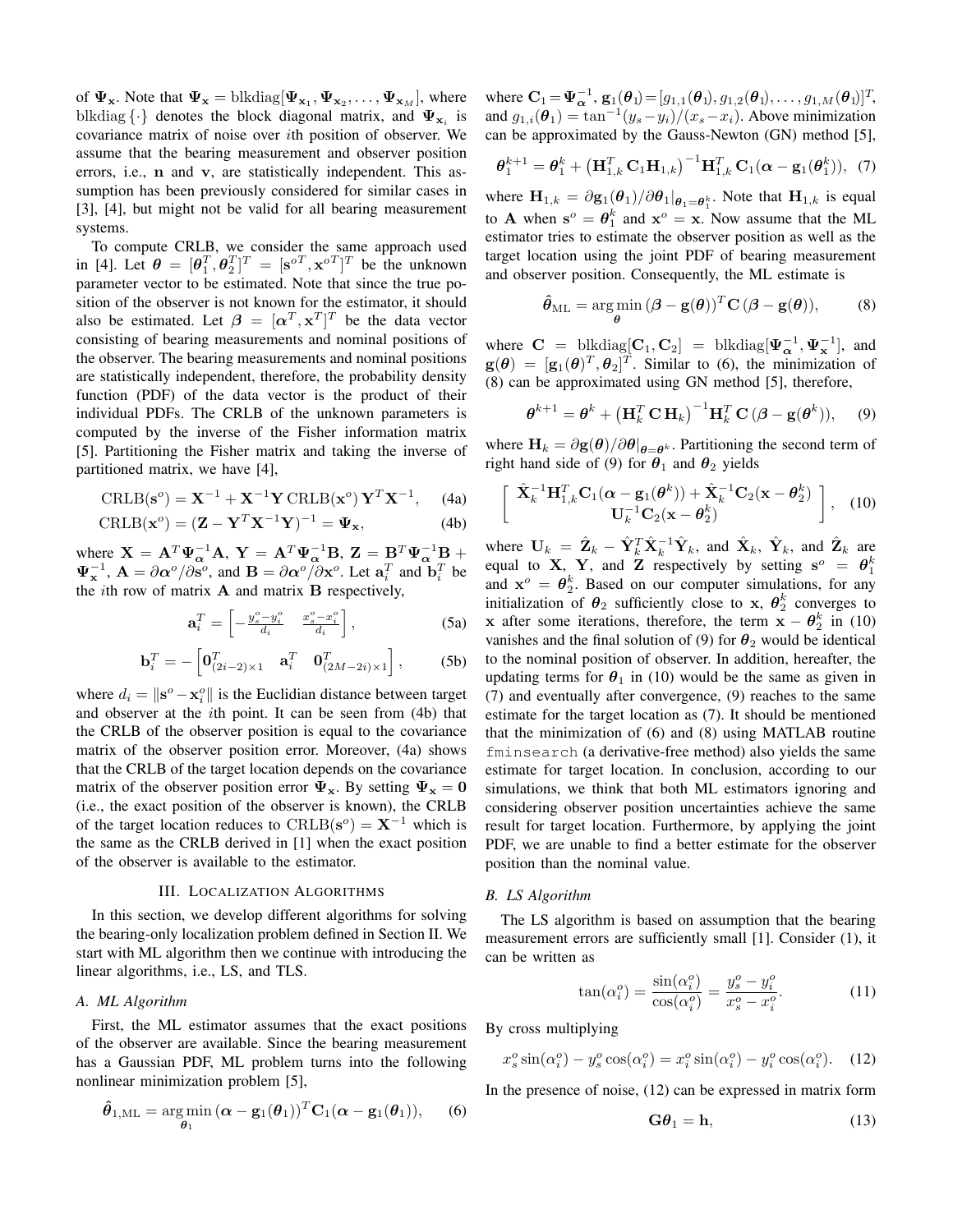of  $\Psi_{\mathbf{x}}$ . Note that  $\Psi_{\mathbf{x}} = \text{blkdiag}[\Psi_{\mathbf{x}_1}, \Psi_{\mathbf{x}_2}, \dots, \Psi_{\mathbf{x}_M}]$ , where blkdiag  $\{\cdot\}$  denotes the block diagonal matrix, and  $\Psi_{\mathbf{x}_i}$  is covariance matrix of noise over *i*th position of observer. We assume that the bearing measurement and observer position errors, i.e., **n** and **v**, are statistically independent. This assumption has been previously considered for similar cases in [3], [4], but might not be valid for all bearing measurement systems.

To compute CRLB, we consider the same approach used in [4]. Let  $\theta = [\theta_1^T, \theta_2^T]^T = [\mathbf{s}^{\circ T}, \mathbf{x}^{\circ T}]^T$  be the unknown parameter vector to be estimated. Note that since the true position of the observer is not known for the estimator, it should also be estimated. Let  $\boldsymbol{\beta} = [\boldsymbol{\alpha}^T, \mathbf{x}^T]^T$  be the data vector consisting of bearing measurements and nominal positions of the observer. The bearing measurements and nominal positions are statistically independent, therefore, the probability density function (PDF) of the data vector is the product of their individual PDFs. The CRLB of the unknown parameters is computed by the inverse of the Fisher information matrix [5]. Partitioning the Fisher matrix and taking the inverse of partitioned matrix, we have [4],

$$
CRLB(\mathbf{s}^o) = \mathbf{X}^{-1} + \mathbf{X}^{-1}\mathbf{Y} CRLB(\mathbf{x}^o)\mathbf{Y}^T\mathbf{X}^{-1}, \quad (4a)
$$

$$
CRLB(\mathbf{x}^o) = (\mathbf{Z} - \mathbf{Y}^T \mathbf{X}^{-1} \mathbf{Y})^{-1} = \Psi_{\mathbf{x}},
$$
 (4b)

where  $\mathbf{X} = \mathbf{A}^T \Psi_{\alpha}^{-1} \mathbf{A}, \ \mathbf{Y} = \mathbf{A}^T \Psi_{\alpha}^{-1} \mathbf{B}, \ \mathbf{Z} = \mathbf{B}^T \Psi_{\alpha}^{-1} \mathbf{B} + \mathbf{A}^T \Psi_{\alpha}^{-1} \mathbf{B}$  $\Psi_{\mathbf{x}}^{-1}$ ,  $\mathbf{A} = \partial \alpha^{\circ}/\partial \mathbf{s}^{\circ}$ , and  $\mathbf{B} = \partial \alpha^{\circ}/\partial \mathbf{x}^{\circ}$ . Let  $\mathbf{a}_i^T$  and  $\mathbf{b}_i^T$  be the *i*th row of matrix **A** and matrix **B** respectively,

$$
\mathbf{a}_i^T = \begin{bmatrix} -\frac{y_s^o - y_i^o}{d_i} & \frac{x_s^o - x_i^o}{d_i} \end{bmatrix},\tag{5a}
$$

$$
\mathbf{b}_i^T = -\begin{bmatrix} \mathbf{0}_{(2i-2)\times 1}^T & \mathbf{a}_i^T & \mathbf{0}_{(2M-2i)\times 1}^T \end{bmatrix}, \quad (5b)
$$

where  $d_i = ||\mathbf{s}^o - \mathbf{x}_i^o||$  is the Euclidian distance between target and observer at the *i*th point. It can be seen from (4b) that the CRLB of the observer position is equal to the covariance matrix of the observer position error. Moreover, (4a) shows that the CRLB of the target location depends on the covariance matrix of the observer position error  $\Psi_{\mathbf{x}}$ . By setting  $\Psi_{\mathbf{x}} = \mathbf{0}$ (i.e., the exact position of the observer is known), the CRLB of the target location reduces to  $\text{CRLB}(\mathbf{s}^{\circ}) = \mathbf{X}^{-1}$  which is the same as the CRLB derived in [1] when the exact position of the observer is available to the estimator.

#### III. LOCALIZATION ALGORITHMS

In this section, we develop different algorithms for solving the bearing-only localization problem defined in Section II. We start with ML algorithm then we continue with introducing the linear algorithms, i.e., LS, and TLS.

#### *A. ML Algorithm*

First, the ML estimator assumes that the exact positions of the observer are available. Since the bearing measurement has a Gaussian PDF, ML problem turns into the following nonlinear minimization problem [5],

$$
\hat{\boldsymbol{\theta}}_{1,\text{ML}} = \underset{\boldsymbol{\theta}_1}{\arg \min} (\boldsymbol{\alpha} - \mathbf{g}_1(\boldsymbol{\theta}_1))^T \mathbf{C}_1(\boldsymbol{\alpha} - \mathbf{g}_1(\boldsymbol{\theta}_1)), \quad (6)
$$

where  $C_1 = \Psi_{\alpha}^{-1}$ ,  $g_1(\theta_1) = [g_{1,1}(\theta_1), g_{1,2}(\theta_1), \dots, g_{1,M}(\theta_1)]^T$ , and  $g_{1,i}(\theta_1) = \tan^{-1}(y_s - y_i)/(x_s - x_i)$ . Above minimization can be approximated by the Gauss-Newton (GN) method [5],

$$
\boldsymbol{\theta}_1^{k+1} = \boldsymbol{\theta}_1^k + \left(\mathbf{H}_{1,k}^T \mathbf{C}_1 \mathbf{H}_{1,k}\right)^{-1} \mathbf{H}_{1,k}^T \mathbf{C}_1(\boldsymbol{\alpha} - \mathbf{g}_1(\boldsymbol{\theta}_1^k)), \tag{7}
$$

where  $\mathbf{H}_{1,k} = \partial \mathbf{g}_1(\boldsymbol{\theta}_1)/\partial \boldsymbol{\theta}_1|_{\boldsymbol{\theta}_1 = \boldsymbol{\theta}_1^k}$ . Note that  $\mathbf{H}_{1,k}$  is equal to **A** when  $\mathbf{s}^{\circ} = \boldsymbol{\theta}_{1}^{k}$  and  $\mathbf{x}^{\circ} = \mathbf{x}$ . Now assume that the ML estimator tries to estimate the observer position as well as the target location using the joint PDF of bearing measurement and observer position. Consequently, the ML estimate is

$$
\hat{\boldsymbol{\theta}}_{\mathrm{ML}} = \underset{\boldsymbol{\theta}}{\mathrm{arg\,min}} (\boldsymbol{\beta} - \mathbf{g}(\boldsymbol{\theta}))^T \mathbf{C} (\boldsymbol{\beta} - \mathbf{g}(\boldsymbol{\theta})), \qquad (8)
$$

where  $\mathbf{C} = \text{blkdiag}[\mathbf{C}_1, \mathbf{C}_2] = \text{blkdiag}[\mathbf{\Psi}_{\alpha}^{-1}, \mathbf{\Psi}_{\mathbf{x}}^{-1}],$  and  $g(\theta) = [g_1(\theta)^T, \theta_2]^T$ . Similar to (6), the minimization of (8) can be approximated using GN method [5], therefore,

$$
\boldsymbol{\theta}^{k+1} = \boldsymbol{\theta}^k + \left(\mathbf{H}_k^T \mathbf{C} \mathbf{H}_k\right)^{-1} \mathbf{H}_k^T \mathbf{C} \left(\boldsymbol{\beta} - \mathbf{g}(\boldsymbol{\theta}^k)\right), \quad (9)
$$

where  $\mathbf{H}_k = \partial \mathbf{g}(\boldsymbol{\theta}) / \partial \boldsymbol{\theta} |_{\boldsymbol{\theta} = \boldsymbol{\theta}^k}$ . Partitioning the second term of right hand side of (9) for  $\theta_1$  and  $\theta_2$  yields

$$
\begin{bmatrix}\n\hat{\mathbf{X}}_k^{-1} \mathbf{H}_{1,k}^T \mathbf{C}_1(\boldsymbol{\alpha} - \mathbf{g}_1(\boldsymbol{\theta}^k)) + \hat{\mathbf{X}}_k^{-1} \mathbf{C}_2(\mathbf{x} - \boldsymbol{\theta}_2^k) \\
\mathbf{U}_k^{-1} \mathbf{C}_2(\mathbf{x} - \boldsymbol{\theta}_2^k)\n\end{bmatrix}, \quad (10)
$$

where  $\mathbf{U}_k = \hat{\mathbf{Z}}_k - \hat{\mathbf{Y}}_k^T \hat{\mathbf{X}}_k^{-1} \hat{\mathbf{Y}}_k$ , and  $\hat{\mathbf{X}}_k$ ,  $\hat{\mathbf{Y}}_k$ , and  $\hat{\mathbf{Z}}_k$  are equal to **X**, **Y**, and **Z** respectively by setting  $s^{\circ} = \theta_1^k$ and  $\mathbf{x}^{\circ} = \boldsymbol{\theta}_{2}^{k}$ . Based on our computer simulations, for any initialization of  $\theta_2$  sufficiently close to **x**,  $\theta_2^k$  converges to **x** after some iterations, therefore, the term  $\mathbf{x} - \theta_2^k$  in (10) vanishes and the final solution of (9) for  $\theta_2$  would be identical to the nominal position of observer. In addition, hereafter, the updating terms for  $\theta_1$  in (10) would be the same as given in (7) and eventually after convergence, (9) reaches to the same estimate for the target location as (7). It should be mentioned that the minimization of (6) and (8) using MATLAB routine fminsearch (a derivative-free method) also yields the same estimate for target location. In conclusion, according to our simulations, we think that both ML estimators ignoring and considering observer position uncertainties achieve the same result for target location. Furthermore, by applying the joint PDF, we are unable to find a better estimate for the observer position than the nominal value.

#### *B. LS Algorithm*

The LS algorithm is based on assumption that the bearing measurement errors are sufficiently small [1]. Consider (1), it can be written as

$$
\tan(\alpha_i^o) = \frac{\sin(\alpha_i^o)}{\cos(\alpha_i^o)} = \frac{y_s^o - y_i^o}{x_s^o - x_i^o}.
$$
 (11)

By cross multiplying

$$
x_s^o \sin(\alpha_i^o) - y_s^o \cos(\alpha_i^o) = x_i^o \sin(\alpha_i^o) - y_i^o \cos(\alpha_i^o). \quad (12)
$$

In the presence of noise, (12) can be expressed in matrix form

$$
\mathbf{G}\boldsymbol{\theta}_1 = \mathbf{h},\tag{13}
$$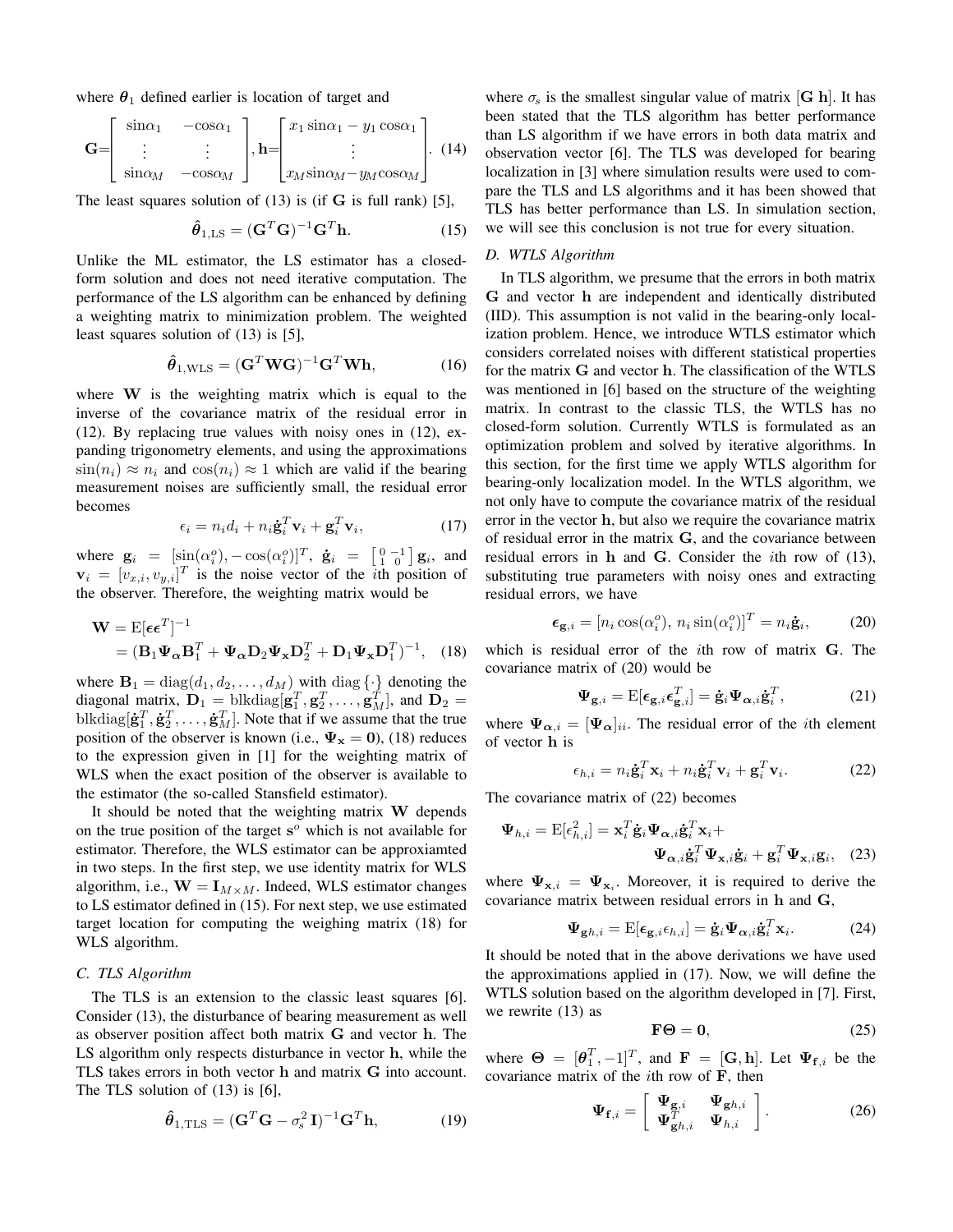where  $\theta_1$  defined earlier is location of target and

$$
\mathbf{G} = \begin{bmatrix} \sin \alpha_1 & -\cos \alpha_1 \\ \vdots & \vdots \\ \sin \alpha_M & -\cos \alpha_M \end{bmatrix}, \mathbf{h} = \begin{bmatrix} x_1 \sin \alpha_1 - y_1 \cos \alpha_1 \\ \vdots \\ x_M \sin \alpha_M - y_M \cos \alpha_M \end{bmatrix}. (14)
$$

The least squares solution of (13) is (if **G** is full rank) [5],

$$
\hat{\theta}_{1,\text{LS}} = (\mathbf{G}^T \mathbf{G})^{-1} \mathbf{G}^T \mathbf{h}.
$$
 (15)

Unlike the ML estimator, the LS estimator has a closedform solution and does not need iterative computation. The performance of the LS algorithm can be enhanced by defining a weighting matrix to minimization problem. The weighted least squares solution of (13) is [5],

$$
\hat{\theta}_{1,\text{WLS}} = (\mathbf{G}^T \mathbf{W} \mathbf{G})^{-1} \mathbf{G}^T \mathbf{W} \mathbf{h},\tag{16}
$$

where **W** is the weighting matrix which is equal to the inverse of the covariance matrix of the residual error in (12). By replacing true values with noisy ones in (12), expanding trigonometry elements, and using the approximations  $\sin(n_i) \approx n_i$  and  $\cos(n_i) \approx 1$  which are valid if the bearing measurement noises are sufficiently small, the residual error becomes

$$
\epsilon_i = n_i d_i + n_i \dot{\mathbf{g}}_i^T \mathbf{v}_i + \mathbf{g}_i^T \mathbf{v}_i,\tag{17}
$$

where  $\mathbf{g}_i = [\sin(\alpha_i^o), -\cos(\alpha_i^o)]^T$ ,  $\dot{\mathbf{g}}_i = [\begin{bmatrix} 0 & -1 \\ 1 & 0 \end{bmatrix} \mathbf{g}_i$ , and  $\mathbf{v}_i = [v_{x,i}, v_{y,i}]^T$  is the noise vector of the *i*th position of the observer. Therefore, the weighting matrix would be

$$
\mathbf{W} = \mathbf{E}[\boldsymbol{\epsilon}\boldsymbol{\epsilon}^T]^{-1}
$$
  
=  $(\mathbf{B}_1\boldsymbol{\Psi}_{\alpha}\mathbf{B}_1^T + \boldsymbol{\Psi}_{\alpha}\mathbf{D}_2\boldsymbol{\Psi}_{\mathbf{x}}\mathbf{D}_2^T + \mathbf{D}_1\boldsymbol{\Psi}_{\mathbf{x}}\mathbf{D}_1^T)^{-1}$ , (18)

where  $\mathbf{B}_1 = \text{diag}(d_1, d_2, \dots, d_M)$  with  $\text{diag} \{\cdot\}$  denoting the diagonal matrix,  $\mathbf{D}_1 = \text{blkdiag}[\mathbf{g}_1^T, \mathbf{g}_2^T, \dots, \mathbf{g}_M^T]$ , and  $\mathbf{D}_2 =$ blkdiag $[\mathbf{\dot{g}}_1^T, \mathbf{\dot{g}}_2^T, \dots, \mathbf{\dot{g}}_M^T]$ . Note that if we assume that the true position of the observer is known (i.e.,  $\Psi_{\mathbf{x}} = 0$ ), (18) reduces to the expression given in [1] for the weighting matrix of WLS when the exact position of the observer is available to the estimator (the so-called Stansfield estimator).

It should be noted that the weighting matrix **W** depends on the true position of the target **s** *<sup>o</sup>* which is not available for estimator. Therefore, the WLS estimator can be approxiamted in two steps. In the first step, we use identity matrix for WLS algorithm, i.e.,  $W = I_{M \times M}$ . Indeed, WLS estimator changes to LS estimator defined in (15). For next step, we use estimated target location for computing the weighing matrix (18) for WLS algorithm.

#### *C. TLS Algorithm*

The TLS is an extension to the classic least squares [6]. Consider (13), the disturbance of bearing measurement as well as observer position affect both matrix **G** and vector **h**. The LS algorithm only respects disturbance in vector **h**, while the TLS takes errors in both vector **h** and matrix **G** into account. The TLS solution of  $(13)$  is [6],

$$
\hat{\boldsymbol{\theta}}_{1,\text{TLS}} = (\mathbf{G}^T \mathbf{G} - \sigma_s^2 \mathbf{I})^{-1} \mathbf{G}^T \mathbf{h},\tag{19}
$$

where  $\sigma_s$  is the smallest singular value of matrix  $[\mathbf{G} \mathbf{h}]$ . It has been stated that the TLS algorithm has better performance than LS algorithm if we have errors in both data matrix and observation vector [6]. The TLS was developed for bearing localization in [3] where simulation results were used to compare the TLS and LS algorithms and it has been showed that TLS has better performance than LS. In simulation section, we will see this conclusion is not true for every situation.

#### *D. WTLS Algorithm*

In TLS algorithm, we presume that the errors in both matrix **G** and vector **h** are independent and identically distributed (IID). This assumption is not valid in the bearing-only localization problem. Hence, we introduce WTLS estimator which considers correlated noises with different statistical properties for the matrix **G** and vector **h**. The classification of the WTLS was mentioned in [6] based on the structure of the weighting matrix. In contrast to the classic TLS, the WTLS has no closed-form solution. Currently WTLS is formulated as an optimization problem and solved by iterative algorithms. In this section, for the first time we apply WTLS algorithm for bearing-only localization model. In the WTLS algorithm, we not only have to compute the covariance matrix of the residual error in the vector **h**, but also we require the covariance matrix of residual error in the matrix **G**, and the covariance between residual errors in **h** and **G**. Consider the *i*th row of (13), substituting true parameters with noisy ones and extracting residual errors, we have

$$
\epsilon_{\mathbf{g},i} = [n_i \cos(\alpha_i^o), n_i \sin(\alpha_i^o)]^T = n_i \dot{\mathbf{g}}_i,\tag{20}
$$

which is residual error of the *i*th row of matrix **G**. The covariance matrix of (20) would be

$$
\Psi_{\mathbf{g},i} = E[\epsilon_{\mathbf{g},i}\epsilon_{\mathbf{g},i}^T] = \dot{\mathbf{g}}_i \Psi_{\alpha,i}\dot{\mathbf{g}}_i^T,
$$
\n(21)

where  $\Psi_{\alpha,i} = [\Psi_{\alpha}]_{ii}$ . The residual error of the *i*th element of vector **h** is

$$
\epsilon_{h,i} = n_i \dot{\mathbf{g}}_i^T \mathbf{x}_i + n_i \dot{\mathbf{g}}_i^T \mathbf{v}_i + \mathbf{g}_i^T \mathbf{v}_i.
$$
 (22)

The covariance matrix of (22) becomes

$$
\Psi_{h,i} = \mathbf{E}[\epsilon_{h,i}^2] = \mathbf{x}_i^T \dot{\mathbf{g}}_i \Psi_{\alpha,i} \dot{\mathbf{g}}_i^T \mathbf{x}_i + \Psi_{\alpha,i} \dot{\mathbf{g}}_i^T \Psi_{\mathbf{x},i} \dot{\mathbf{g}}_i + \mathbf{g}_i^T \Psi_{\mathbf{x},i} \mathbf{g}_i, \quad (23)
$$

where  $\Psi_{\mathbf{x},i} = \Psi_{\mathbf{x}_i}$ . Moreover, it is required to derive the covariance matrix between residual errors in **h** and **G**,

$$
\mathbf{\Psi}_{\mathbf{g}h,i} = \mathrm{E}[\epsilon_{\mathbf{g},i}\epsilon_{h,i}] = \dot{\mathbf{g}}_i \mathbf{\Psi}_{\alpha,i} \dot{\mathbf{g}}_i^T \mathbf{x}_i.
$$
 (24)

It should be noted that in the above derivations we have used the approximations applied in (17). Now, we will define the WTLS solution based on the algorithm developed in [7]. First, we rewrite (13) as

$$
\mathbf{F}\Theta = \mathbf{0},\tag{25}
$$

where  $\Theta = [\theta_1^T, -1]^T$ , and  $\mathbf{F} = [\mathbf{G}, \mathbf{h}]$ . Let  $\Psi_{\mathbf{f},i}$  be the covariance matrix of the *i*th row of **F**, then

$$
\Psi_{\mathbf{f},i} = \left[ \begin{array}{cc} \Psi_{\mathbf{g},i} & \Psi_{\mathbf{g}h,i} \\ \Psi_{\mathbf{g}h,i}^T & \Psi_{h,i} \end{array} \right]. \tag{26}
$$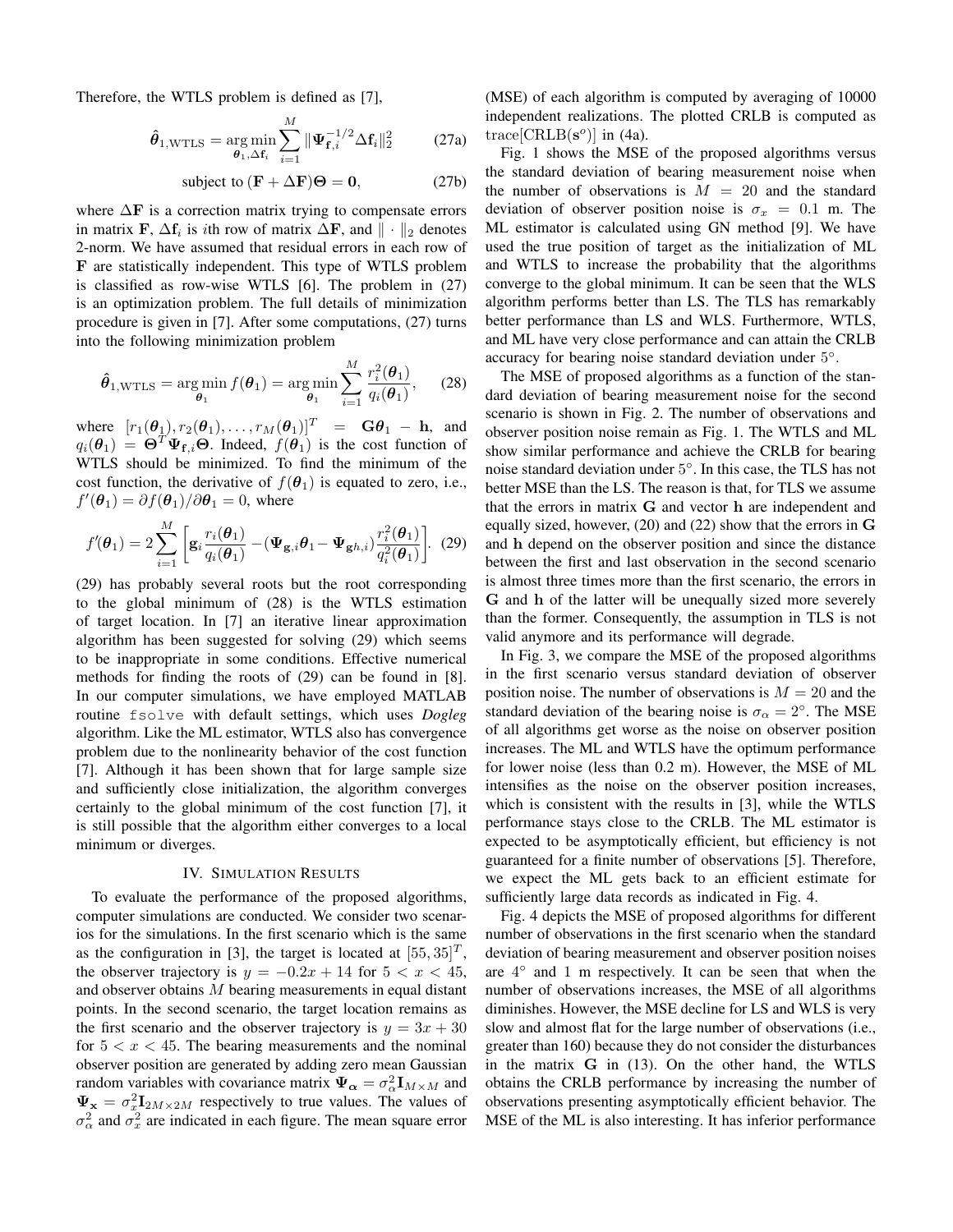Therefore, the WTLS problem is defined as [7],

$$
\hat{\boldsymbol{\theta}}_{1,\text{WTLS}} = \underset{\boldsymbol{\theta}_1, \Delta \mathbf{f}_i}{\arg \min} \sum_{i=1}^M \|\boldsymbol{\Psi}_{\mathbf{f},i}^{-1/2} \Delta \mathbf{f}_i\|_2^2 \tag{27a}
$$

subject to 
$$
(\mathbf{F} + \Delta \mathbf{F})\mathbf{\Theta} = \mathbf{0}
$$
, (27b)

where  $\Delta F$  is a correction matrix trying to compensate errors in matrix **F**,  $\Delta \mathbf{f}_i$  is *i*th row of matrix  $\Delta \mathbf{F}$ , and  $|| \cdot ||_2$  denotes 2-norm. We have assumed that residual errors in each row of **F** are statistically independent. This type of WTLS problem is classified as row-wise WTLS [6]. The problem in (27) is an optimization problem. The full details of minimization procedure is given in [7]. After some computations, (27) turns into the following minimization problem

$$
\hat{\boldsymbol{\theta}}_{1,\text{WTLS}} = \underset{\boldsymbol{\theta}_1}{\arg\min} f(\boldsymbol{\theta}_1) = \underset{\boldsymbol{\theta}_1}{\arg\min} \sum_{i=1}^M \frac{r_i^2(\boldsymbol{\theta}_1)}{q_i(\boldsymbol{\theta}_1)},\qquad(28)
$$

where  $[r_1(\theta_1), r_2(\theta_1), \dots, r_M(\theta_1)]^T = \mathbf{G}\theta_1 - \mathbf{h}$ , and  $q_i(\theta_1) = \Theta^T \Psi_{\mathbf{f},i} \Theta$ . Indeed,  $f(\theta_1)$  is the cost function of WTLS should be minimized. To find the minimum of the cost function, the derivative of  $f(\theta_1)$  is equated to zero, i.e.,  $f'(\theta_1) = \partial f(\theta_1)/\partial \theta_1 = 0$ , where

$$
f'(\boldsymbol{\theta}_1) = 2 \sum_{i=1}^{M} \left[ \mathbf{g}_i \frac{r_i(\boldsymbol{\theta}_1)}{q_i(\boldsymbol{\theta}_1)} - (\mathbf{\Psi}_{\mathbf{g},i} \boldsymbol{\theta}_1 - \mathbf{\Psi}_{\mathbf{g}h,i}) \frac{r_i^2(\boldsymbol{\theta}_1)}{q_i^2(\boldsymbol{\theta}_1)} \right].
$$
 (29)

(29) has probably several roots but the root corresponding to the global minimum of (28) is the WTLS estimation of target location. In [7] an iterative linear approximation algorithm has been suggested for solving (29) which seems to be inappropriate in some conditions. Effective numerical methods for finding the roots of (29) can be found in [8]. In our computer simulations, we have employed MATLAB routine fsolve with default settings, which uses *Dogleg* algorithm. Like the ML estimator, WTLS also has convergence problem due to the nonlinearity behavior of the cost function [7]. Although it has been shown that for large sample size and sufficiently close initialization, the algorithm converges certainly to the global minimum of the cost function [7], it is still possible that the algorithm either converges to a local minimum or diverges.

#### IV. SIMULATION RESULTS

To evaluate the performance of the proposed algorithms, computer simulations are conducted. We consider two scenarios for the simulations. In the first scenario which is the same as the configuration in [3], the target is located at  $[55, 35]^T$ , the observer trajectory is  $y = -0.2x + 14$  for  $5 < x < 45$ , and observer obtains *M* bearing measurements in equal distant points. In the second scenario, the target location remains as the first scenario and the observer trajectory is  $y = 3x + 30$ for  $5 < x < 45$ . The bearing measurements and the nominal observer position are generated by adding zero mean Gaussian random variables with covariance matrix  $\Psi_{\alpha} = \sigma_{\alpha}^2 \mathbf{I}_{M \times M}$  and  $\Psi_{\mathbf{x}} = \sigma_x^2 \mathbf{I}_{2M \times 2M}$  respectively to true values. The values of  $\sigma_{\alpha}^2$  and  $\sigma_x^2$  are indicated in each figure. The mean square error

(MSE) of each algorithm is computed by averaging of 10000 independent realizations. The plotted CRLB is computed as  $trace[{\rm CRLB}(\mathbf{s}^o)]$  in (4a).

Fig. 1 shows the MSE of the proposed algorithms versus the standard deviation of bearing measurement noise when the number of observations is  $M = 20$  and the standard deviation of observer position noise is  $\sigma_x = 0.1$  m. The ML estimator is calculated using GN method [9]. We have used the true position of target as the initialization of ML and WTLS to increase the probability that the algorithms converge to the global minimum. It can be seen that the WLS algorithm performs better than LS. The TLS has remarkably better performance than LS and WLS. Furthermore, WTLS, and ML have very close performance and can attain the CRLB accuracy for bearing noise standard deviation under 5 *◦* .

The MSE of proposed algorithms as a function of the standard deviation of bearing measurement noise for the second scenario is shown in Fig. 2. The number of observations and observer position noise remain as Fig. 1. The WTLS and ML show similar performance and achieve the CRLB for bearing noise standard deviation under 5 *◦* . In this case, the TLS has not better MSE than the LS. The reason is that, for TLS we assume that the errors in matrix **G** and vector **h** are independent and equally sized, however, (20) and (22) show that the errors in **G** and **h** depend on the observer position and since the distance between the first and last observation in the second scenario is almost three times more than the first scenario, the errors in **G** and **h** of the latter will be unequally sized more severely than the former. Consequently, the assumption in TLS is not valid anymore and its performance will degrade.

In Fig. 3, we compare the MSE of the proposed algorithms in the first scenario versus standard deviation of observer position noise. The number of observations is  $M = 20$  and the standard deviation of the bearing noise is  $\sigma_{\alpha} = 2^{\circ}$ . The MSE of all algorithms get worse as the noise on observer position increases. The ML and WTLS have the optimum performance for lower noise (less than 0.2 m). However, the MSE of ML intensifies as the noise on the observer position increases, which is consistent with the results in [3], while the WTLS performance stays close to the CRLB. The ML estimator is expected to be asymptotically efficient, but efficiency is not guaranteed for a finite number of observations [5]. Therefore, we expect the ML gets back to an efficient estimate for sufficiently large data records as indicated in Fig. 4.

Fig. 4 depicts the MSE of proposed algorithms for different number of observations in the first scenario when the standard deviation of bearing measurement and observer position noises are 4 *◦* and 1 m respectively. It can be seen that when the number of observations increases, the MSE of all algorithms diminishes. However, the MSE decline for LS and WLS is very slow and almost flat for the large number of observations (i.e., greater than 160) because they do not consider the disturbances in the matrix **G** in (13). On the other hand, the WTLS obtains the CRLB performance by increasing the number of observations presenting asymptotically efficient behavior. The MSE of the ML is also interesting. It has inferior performance